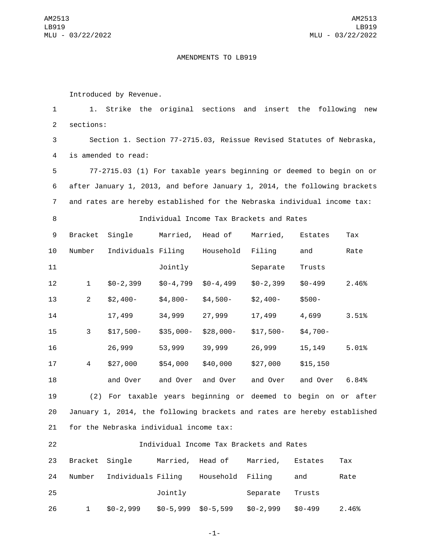## AMENDMENTS TO LB919

Introduced by Revenue.

 1. Strike the original sections and insert the following new 2 sections: Section 1. Section 77-2715.03, Reissue Revised Statutes of Nebraska, 4 is amended to read: 77-2715.03 (1) For taxable years beginning or deemed to begin on or after January 1, 2013, and before January 1, 2014, the following brackets and rates are hereby established for the Nebraska individual income tax: Individual Income Tax Brackets and Rates 9 Bracket Single Married, Head of Married, Estates Tax 10 Number Individuals Filing Household Filing and Rate 11 Jointly Separate Trusts \$0-2,399 \$0-4,799 \$0-4,499 \$0-2,399 \$0-499 2.46% \$2,400- \$4,800- \$4,500- \$2,400- \$500- 17,499 34,999 27,999 17,499 4,699 3.51% \$17,500- \$35,000- \$28,000- \$17,500- \$4,700- 26,999 53,999 39,999 26,999 15,149 5.01% \$27,000 \$54,000 \$40,000 \$27,000 \$15,150 and Over and Over and Over and Over and Over 6.84% (2) For taxable years beginning or deemed to begin on or after January 1, 2014, the following brackets and rates are hereby established 21 for the Nebraska individual income tax:

| 22 | Individual Income Tax Brackets and Rates |                    |            |                  |            |            |       |
|----|------------------------------------------|--------------------|------------|------------------|------------|------------|-------|
| 23 | Bracket Single                           |                    |            | Married, Head of | Married,   | Estates    | Тах   |
| 24 | Number                                   | Individuals Filing |            | Household Filing |            | and        | Rate  |
| 25 |                                          |                    | Jointly    |                  | Separate   | Trusts     |       |
| 26 | 1                                        | $$0-2,999$         | $$0-5,999$ | $$0-5,599$       | $$0-2,999$ | $$0 - 499$ | 2.46% |

-1-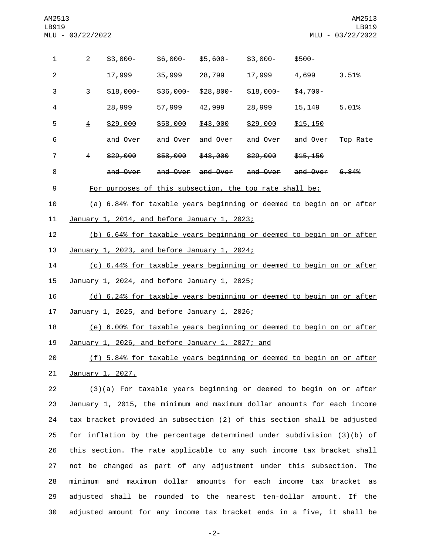| $\mathbf{1}$     | $\overline{2}$                                   | $$3,000-$                                                            | \$6,000-        | $$5,600-$         | $$3,000-$           | $$500-$         |          |
|------------------|--------------------------------------------------|----------------------------------------------------------------------|-----------------|-------------------|---------------------|-----------------|----------|
| $\overline{2}$   |                                                  | 17,999                                                               | 35,999          | 28,799            | 17,999              | 4,699           | 3.51%    |
| 3                | 3                                                | $$18,000-$                                                           | \$36,000-       | \$28,800-         | $$18,000-$          | $$4,700-$       |          |
| 4                |                                                  | 28,999                                                               | 57,999          | 42,999            | 28,999              | 15,149          | 5.01%    |
| 5                | $\overline{4}$                                   | \$29,000                                                             | \$58,000        | \$43,000          | \$29,000            | \$15,150        |          |
| 6                |                                                  | <u>and Over</u>                                                      | <u>and Over</u> | <u>and Over</u>   | <u>and Over</u>     | <u>and Over</u> | Top Rate |
| $\overline{7}$   | 4                                                | \$29,000                                                             | \$58,000        | \$43,000          | <del>\$29,000</del> | \$15,150        |          |
| 8                |                                                  | and Over                                                             |                 | and Over and Over | and Over            | and Over        | 6.84%    |
| $\boldsymbol{9}$ |                                                  | For purposes of this subsection, the top rate shall be:              |                 |                   |                     |                 |          |
| 10               |                                                  | (a) 6.84% for taxable years beginning or deemed to begin on or after |                 |                   |                     |                 |          |
| 11               |                                                  | January 1, 2014, and before January 1, 2023;                         |                 |                   |                     |                 |          |
| 12               |                                                  | (b) 6.64% for taxable years beginning or deemed to begin on or after |                 |                   |                     |                 |          |
| 13               |                                                  | January 1, 2023, and before January 1, 2024;                         |                 |                   |                     |                 |          |
| 14               |                                                  | (c) 6.44% for taxable years beginning or deemed to begin on or after |                 |                   |                     |                 |          |
| 15               | January 1, 2024, and before January 1, 2025;     |                                                                      |                 |                   |                     |                 |          |
| 16               |                                                  | (d) 6.24% for taxable years beginning or deemed to begin on or after |                 |                   |                     |                 |          |
| 17               | January 1, 2025, and before January 1, 2026;     |                                                                      |                 |                   |                     |                 |          |
| 18               |                                                  | (e) 6.00% for taxable years beginning or deemed to begin on or after |                 |                   |                     |                 |          |
| 19               | January 1, 2026, and before January 1, 2027; and |                                                                      |                 |                   |                     |                 |          |
| 20               |                                                  | (f) 5.84% for taxable years beginning or deemed to begin on or after |                 |                   |                     |                 |          |

21 January 1, 2027.

 (3)(a) For taxable years beginning or deemed to begin on or after January 1, 2015, the minimum and maximum dollar amounts for each income tax bracket provided in subsection (2) of this section shall be adjusted for inflation by the percentage determined under subdivision (3)(b) of this section. The rate applicable to any such income tax bracket shall not be changed as part of any adjustment under this subsection. The minimum and maximum dollar amounts for each income tax bracket as adjusted shall be rounded to the nearest ten-dollar amount. If the adjusted amount for any income tax bracket ends in a five, it shall be

-2-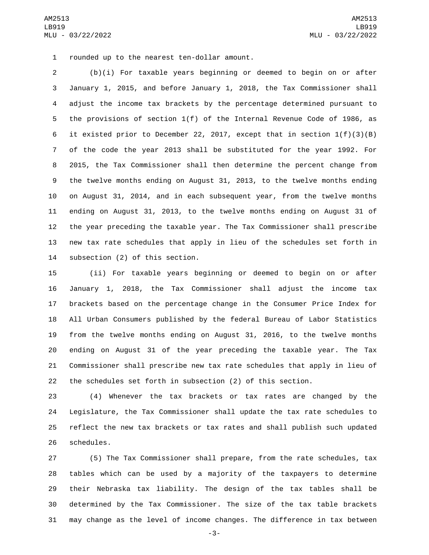1 rounded up to the nearest ten-dollar amount.

 (b)(i) For taxable years beginning or deemed to begin on or after January 1, 2015, and before January 1, 2018, the Tax Commissioner shall adjust the income tax brackets by the percentage determined pursuant to the provisions of section 1(f) of the Internal Revenue Code of 1986, as it existed prior to December 22, 2017, except that in section 1(f)(3)(B) of the code the year 2013 shall be substituted for the year 1992. For 2015, the Tax Commissioner shall then determine the percent change from the twelve months ending on August 31, 2013, to the twelve months ending on August 31, 2014, and in each subsequent year, from the twelve months ending on August 31, 2013, to the twelve months ending on August 31 of the year preceding the taxable year. The Tax Commissioner shall prescribe new tax rate schedules that apply in lieu of the schedules set forth in 14 subsection (2) of this section.

 (ii) For taxable years beginning or deemed to begin on or after January 1, 2018, the Tax Commissioner shall adjust the income tax brackets based on the percentage change in the Consumer Price Index for All Urban Consumers published by the federal Bureau of Labor Statistics from the twelve months ending on August 31, 2016, to the twelve months ending on August 31 of the year preceding the taxable year. The Tax Commissioner shall prescribe new tax rate schedules that apply in lieu of the schedules set forth in subsection (2) of this section.

 (4) Whenever the tax brackets or tax rates are changed by the Legislature, the Tax Commissioner shall update the tax rate schedules to reflect the new tax brackets or tax rates and shall publish such updated 26 schedules.

 (5) The Tax Commissioner shall prepare, from the rate schedules, tax tables which can be used by a majority of the taxpayers to determine their Nebraska tax liability. The design of the tax tables shall be determined by the Tax Commissioner. The size of the tax table brackets may change as the level of income changes. The difference in tax between

-3-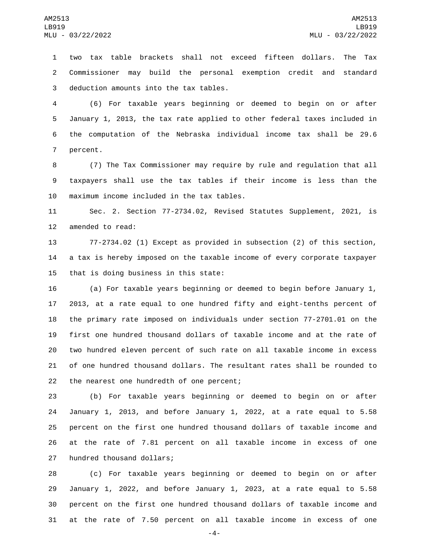two tax table brackets shall not exceed fifteen dollars. The Tax Commissioner may build the personal exemption credit and standard 3 deduction amounts into the tax tables.

 (6) For taxable years beginning or deemed to begin on or after January 1, 2013, the tax rate applied to other federal taxes included in the computation of the Nebraska individual income tax shall be 29.6 7 percent.

 (7) The Tax Commissioner may require by rule and regulation that all taxpayers shall use the tax tables if their income is less than the 10 maximum income included in the tax tables.

 Sec. 2. Section 77-2734.02, Revised Statutes Supplement, 2021, is 12 amended to read:

 77-2734.02 (1) Except as provided in subsection (2) of this section, a tax is hereby imposed on the taxable income of every corporate taxpayer 15 that is doing business in this state:

 (a) For taxable years beginning or deemed to begin before January 1, 2013, at a rate equal to one hundred fifty and eight-tenths percent of the primary rate imposed on individuals under section 77-2701.01 on the first one hundred thousand dollars of taxable income and at the rate of two hundred eleven percent of such rate on all taxable income in excess of one hundred thousand dollars. The resultant rates shall be rounded to 22 the nearest one hundredth of one percent;

 (b) For taxable years beginning or deemed to begin on or after January 1, 2013, and before January 1, 2022, at a rate equal to 5.58 percent on the first one hundred thousand dollars of taxable income and at the rate of 7.81 percent on all taxable income in excess of one 27 hundred thousand dollars;

 (c) For taxable years beginning or deemed to begin on or after January 1, 2022, and before January 1, 2023, at a rate equal to 5.58 percent on the first one hundred thousand dollars of taxable income and at the rate of 7.50 percent on all taxable income in excess of one

-4-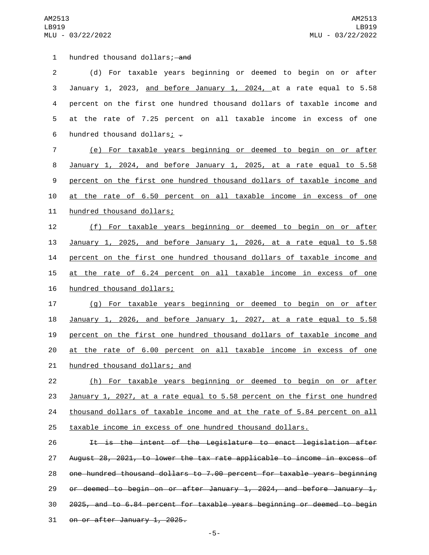1 hundred thousand dollars; and

31 on or after January 1, 2025.

 (d) For taxable years beginning or deemed to begin on or after January 1, 2023, and before January 1, 2024, at a rate equal to 5.58 percent on the first one hundred thousand dollars of taxable income and at the rate of 7.25 percent on all taxable income in excess of one 6 hundred thousand dollars;  $\overline{z}$  (e) For taxable years beginning or deemed to begin on or after January 1, 2024, and before January 1, 2025, at a rate equal to 5.58 percent on the first one hundred thousand dollars of taxable income and at the rate of 6.50 percent on all taxable income in excess of one 11 hundred thousand dollars; (f) For taxable years beginning or deemed to begin on or after January 1, 2025, and before January 1, 2026, at a rate equal to 5.58 percent on the first one hundred thousand dollars of taxable income and at the rate of 6.24 percent on all taxable income in excess of one 16 hundred thousand dollars; (g) For taxable years beginning or deemed to begin on or after January 1, 2026, and before January 1, 2027, at a rate equal to 5.58 percent on the first one hundred thousand dollars of taxable income and at the rate of 6.00 percent on all taxable income in excess of one 21 hundred thousand dollars; and (h) For taxable years beginning or deemed to begin on or after January 1, 2027, at a rate equal to 5.58 percent on the first one hundred 24 thousand dollars of taxable income and at the rate of 5.84 percent on all taxable income in excess of one hundred thousand dollars. It is the intent of the Legislature to enact legislation after August 28, 2021, to lower the tax rate applicable to income in excess of one hundred thousand dollars to 7.00 percent for taxable years beginning or deemed to begin on or after January 1, 2024, and before January 1, 2025, and to 6.84 percent for taxable years beginning or deemed to begin

-5-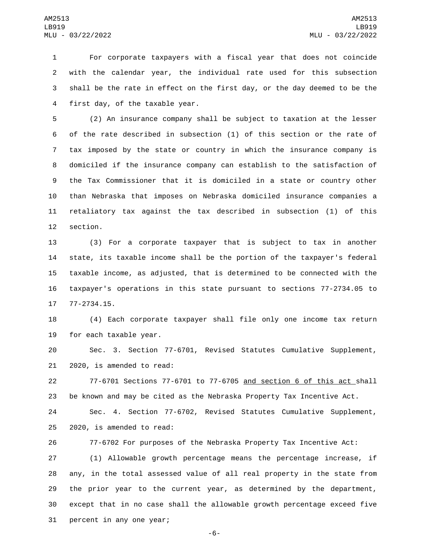For corporate taxpayers with a fiscal year that does not coincide with the calendar year, the individual rate used for this subsection shall be the rate in effect on the first day, or the day deemed to be the 4 first day, of the taxable year.

 (2) An insurance company shall be subject to taxation at the lesser of the rate described in subsection (1) of this section or the rate of tax imposed by the state or country in which the insurance company is domiciled if the insurance company can establish to the satisfaction of the Tax Commissioner that it is domiciled in a state or country other than Nebraska that imposes on Nebraska domiciled insurance companies a retaliatory tax against the tax described in subsection (1) of this 12 section.

 (3) For a corporate taxpayer that is subject to tax in another state, its taxable income shall be the portion of the taxpayer's federal taxable income, as adjusted, that is determined to be connected with the taxpayer's operations in this state pursuant to sections 77-2734.05 to 17 77-2734.15.

 (4) Each corporate taxpayer shall file only one income tax return 19 for each taxable year.

 Sec. 3. Section 77-6701, Revised Statutes Cumulative Supplement,  $2020$ , is amended to read:

 77-6701 Sections 77-6701 to 77-6705 and section 6 of this act shall be known and may be cited as the Nebraska Property Tax Incentive Act.

 Sec. 4. Section 77-6702, Revised Statutes Cumulative Supplement,  $2020$ , is amended to read:

77-6702 For purposes of the Nebraska Property Tax Incentive Act:

 (1) Allowable growth percentage means the percentage increase, if any, in the total assessed value of all real property in the state from the prior year to the current year, as determined by the department, except that in no case shall the allowable growth percentage exceed five 31 percent in any one year;

-6-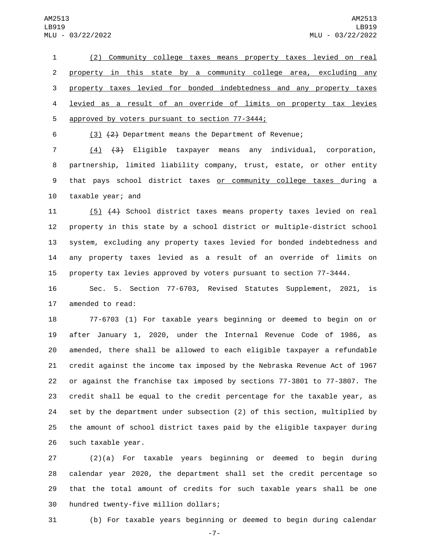(2) Community college taxes means property taxes levied on real property in this state by a community college area, excluding any property taxes levied for bonded indebtedness and any property taxes levied as a result of an override of limits on property tax levies 5 approved by voters pursuant to section 77-3444;

(3) (2) Department means the Department of Revenue;

 (4) (3) Eligible taxpayer means any individual, corporation, partnership, limited liability company, trust, estate, or other entity 9 that pays school district taxes or community college taxes during a 10 taxable year; and

 (5) (4) School district taxes means property taxes levied on real property in this state by a school district or multiple-district school system, excluding any property taxes levied for bonded indebtedness and any property taxes levied as a result of an override of limits on property tax levies approved by voters pursuant to section 77-3444.

 Sec. 5. Section 77-6703, Revised Statutes Supplement, 2021, is 17 amended to read:

 77-6703 (1) For taxable years beginning or deemed to begin on or after January 1, 2020, under the Internal Revenue Code of 1986, as amended, there shall be allowed to each eligible taxpayer a refundable credit against the income tax imposed by the Nebraska Revenue Act of 1967 or against the franchise tax imposed by sections 77-3801 to 77-3807. The credit shall be equal to the credit percentage for the taxable year, as set by the department under subsection (2) of this section, multiplied by the amount of school district taxes paid by the eligible taxpayer during 26 such taxable year.

 (2)(a) For taxable years beginning or deemed to begin during calendar year 2020, the department shall set the credit percentage so that the total amount of credits for such taxable years shall be one 30 hundred twenty-five million dollars;

(b) For taxable years beginning or deemed to begin during calendar

-7-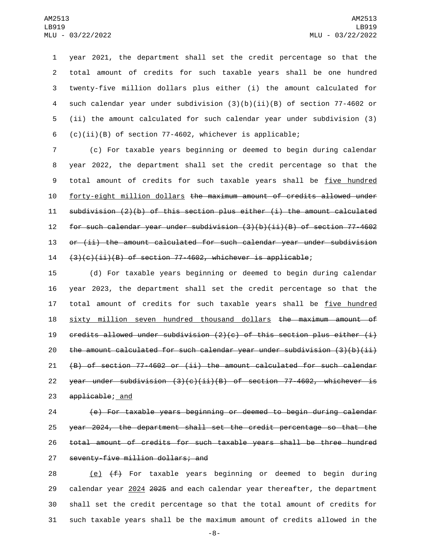year 2021, the department shall set the credit percentage so that the total amount of credits for such taxable years shall be one hundred twenty-five million dollars plus either (i) the amount calculated for such calendar year under subdivision (3)(b)(ii)(B) of section 77-4602 or (ii) the amount calculated for such calendar year under subdivision (3) (c)(ii)(B) of section 77-4602, whichever is applicable;

 (c) For taxable years beginning or deemed to begin during calendar year 2022, the department shall set the credit percentage so that the 9 total amount of credits for such taxable years shall be five hundred forty-eight million dollars the maximum amount of credits allowed under subdivision (2)(b) of this section plus either (i) the amount calculated for such calendar year under subdivision (3)(b)(ii)(B) of section 77-4602 or (ii) the amount calculated for such calendar year under subdivision  $(3)(c)(ii)(B)$  of section 77-4602, whichever is applicable;

15 (d) For taxable years beginning or deemed to begin during calendar 16 year 2023, the department shall set the credit percentage so that the 17 total amount of credits for such taxable years shall be five hundred 18 sixty million seven hundred thousand dollars the maximum amount of 19  $c$  redits allowed under subdivision (2)(c) of this section plus either (i) 20 the amount calculated for such calendar year under subdivision  $(3)(b)(ii)$ 21 (B) of section 77-4602 or (ii) the amount calculated for such calendar 22 year under subdivision  $(3)(c)(ii)(B)$  of section 77-4602, whichever is 23 applicable; and

 (e) For taxable years beginning or deemed to begin during calendar year 2024, the department shall set the credit percentage so that the total amount of credits for such taxable years shall be three hundred 27 seventy-five million dollars; and

 $(e)$   $(f)$  For taxable years beginning or deemed to begin during 29 calendar year 2024 2025 and each calendar year thereafter, the department shall set the credit percentage so that the total amount of credits for such taxable years shall be the maximum amount of credits allowed in the

-8-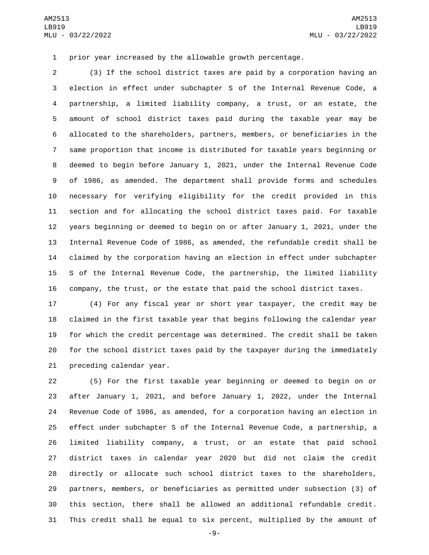prior year increased by the allowable growth percentage.

 (3) If the school district taxes are paid by a corporation having an election in effect under subchapter S of the Internal Revenue Code, a partnership, a limited liability company, a trust, or an estate, the amount of school district taxes paid during the taxable year may be allocated to the shareholders, partners, members, or beneficiaries in the same proportion that income is distributed for taxable years beginning or deemed to begin before January 1, 2021, under the Internal Revenue Code of 1986, as amended. The department shall provide forms and schedules necessary for verifying eligibility for the credit provided in this section and for allocating the school district taxes paid. For taxable years beginning or deemed to begin on or after January 1, 2021, under the Internal Revenue Code of 1986, as amended, the refundable credit shall be claimed by the corporation having an election in effect under subchapter S of the Internal Revenue Code, the partnership, the limited liability company, the trust, or the estate that paid the school district taxes.

 (4) For any fiscal year or short year taxpayer, the credit may be claimed in the first taxable year that begins following the calendar year for which the credit percentage was determined. The credit shall be taken for the school district taxes paid by the taxpayer during the immediately 21 preceding calendar year.

 (5) For the first taxable year beginning or deemed to begin on or after January 1, 2021, and before January 1, 2022, under the Internal Revenue Code of 1986, as amended, for a corporation having an election in effect under subchapter S of the Internal Revenue Code, a partnership, a limited liability company, a trust, or an estate that paid school district taxes in calendar year 2020 but did not claim the credit directly or allocate such school district taxes to the shareholders, partners, members, or beneficiaries as permitted under subsection (3) of this section, there shall be allowed an additional refundable credit. This credit shall be equal to six percent, multiplied by the amount of

-9-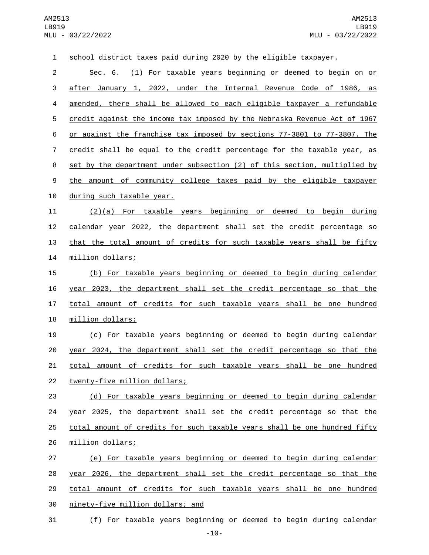| $\mathbf{1}$   | school district taxes paid during 2020 by the eligible taxpayer.          |
|----------------|---------------------------------------------------------------------------|
| $\overline{c}$ | (1) For taxable years beginning or deemed to begin on or<br>Sec. 6.       |
| 3              | after January 1, 2022, under the Internal Revenue Code of 1986, as        |
| 4              | amended, there shall be allowed to each eligible taxpayer a refundable    |
| 5              | credit against the income tax imposed by the Nebraska Revenue Act of 1967 |
| 6              | or against the franchise tax imposed by sections 77-3801 to 77-3807. The  |
| $\overline{7}$ | credit shall be equal to the credit percentage for the taxable year, as   |
| 8              | set by the department under subsection (2) of this section, multiplied by |
| 9              | the amount of community college taxes paid by the eligible taxpayer       |
| 10             | during such taxable year.                                                 |
| 11             | $(2)(a)$ For taxable years beginning or deemed to begin during            |
| 12             | calendar year 2022, the department shall set the credit percentage so     |
| 13             | that the total amount of credits for such taxable years shall be fifty    |
| 14             | million dollars;                                                          |
| 15             | (b) For taxable years beginning or deemed to begin during calendar        |
| 16             | year 2023, the department shall set the credit percentage so that the     |
| 17             | total amount of credits for such taxable years shall be one hundred       |
| 18             | million dollars;                                                          |
| 19             | (c) For taxable years beginning or deemed to begin during calendar        |
| 20             | year 2024, the department shall set the credit percentage so that the     |
| 21             | total amount of credits for such taxable years shall be one hundred       |
| 22             | twenty-five million dollars;                                              |
| 23             | (d) For taxable years beginning or deemed to begin during calendar        |
| 24             | year 2025, the department shall set the credit percentage so that the     |
| 25             | total amount of credits for such taxable years shall be one hundred fifty |
| 26             | million dollars;                                                          |
| 27             | (e) For taxable years beginning or deemed to begin during calendar        |
| 28             | year 2026, the department shall set the credit percentage so that the     |
| 29             | total amount of credits for such taxable years shall be one hundred       |
| 30             | ninety-five million dollars; and                                          |
| 31             | (f) For taxable years beginning or deemed to begin during calendar        |

-10-